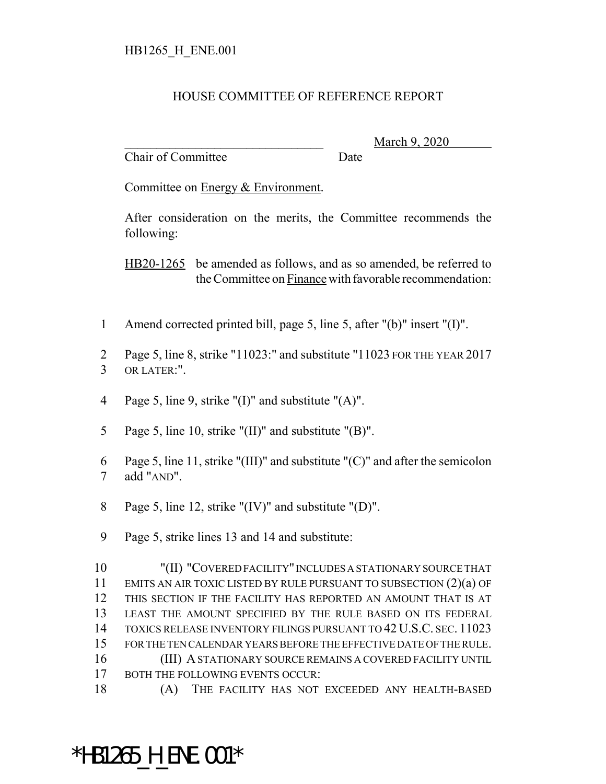## HOUSE COMMITTEE OF REFERENCE REPORT

Chair of Committee Date

March 9, 2020

Committee on Energy & Environment.

After consideration on the merits, the Committee recommends the following:

HB20-1265 be amended as follows, and as so amended, be referred to the Committee on Finance with favorable recommendation:

- Amend corrected printed bill, page 5, line 5, after "(b)" insert "(I)".
- Page 5, line 8, strike "11023:" and substitute "11023 FOR THE YEAR 2017 OR LATER:".
- Page 5, line 9, strike "(I)" and substitute "(A)".
- Page 5, line 10, strike "(II)" and substitute "(B)".
- Page 5, line 11, strike "(III)" and substitute "(C)" and after the semicolon add "AND".
- Page 5, line 12, strike "(IV)" and substitute "(D)".
- Page 5, strike lines 13 and 14 and substitute:

 "(II) "COVERED FACILITY" INCLUDES A STATIONARY SOURCE THAT EMITS AN AIR TOXIC LISTED BY RULE PURSUANT TO SUBSECTION (2)(a) OF THIS SECTION IF THE FACILITY HAS REPORTED AN AMOUNT THAT IS AT LEAST THE AMOUNT SPECIFIED BY THE RULE BASED ON ITS FEDERAL TOXICS RELEASE INVENTORY FILINGS PURSUANT TO 42 U.S.C. SEC. 11023 FOR THE TEN CALENDAR YEARS BEFORE THE EFFECTIVE DATE OF THE RULE. (III) A STATIONARY SOURCE REMAINS A COVERED FACILITY UNTIL 17 BOTH THE FOLLOWING EVENTS OCCUR:

(A) THE FACILITY HAS NOT EXCEEDED ANY HEALTH-BASED

## \*HB1265\_H\_ENE.001\*